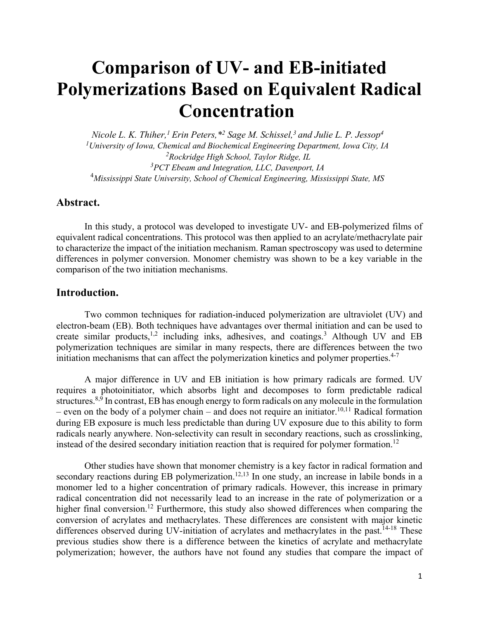# **Comparison of UV- and EB-initiated Polymerizations Based on Equivalent Radical Concentration**

*Nicole L. K. Thiher,1 Erin Peters,\*2 Sage M. Schissel,3 and Julie L. P. Jessop4 1University of Iowa, Chemical and Biochemical Engineering Department, Iowa City, IA 2 Rockridge High School, Taylor Ridge, IL 3 PCT Ebeam and Integration, LLC, Davenport, IA* 4 *Mississippi State University, School of Chemical Engineering, Mississippi State, MS*

# **Abstract.**

In this study, a protocol was developed to investigate UV- and EB-polymerized films of equivalent radical concentrations. This protocol was then applied to an acrylate/methacrylate pair to characterize the impact of the initiation mechanism. Raman spectroscopy was used to determine differences in polymer conversion. Monomer chemistry was shown to be a key variable in the comparison of the two initiation mechanisms.

# **Introduction.**

 Two common techniques for radiation-induced polymerization are ultraviolet (UV) and electron-beam (EB). Both techniques have advantages over thermal initiation and can be used to create similar products, $1,2$  including inks, adhesives, and coatings.<sup>3</sup> Although UV and EB polymerization techniques are similar in many respects, there are differences between the two initiation mechanisms that can affect the polymerization kinetics and polymer properties.<sup>4-7</sup>

 A major difference in UV and EB initiation is how primary radicals are formed. UV requires a photoinitiator, which absorbs light and decomposes to form predictable radical structures.<sup>8,9</sup> In contrast, EB has enough energy to form radicals on any molecule in the formulation – even on the body of a polymer chain – and does not require an initiator.<sup>10,11</sup> Radical formation during EB exposure is much less predictable than during UV exposure due to this ability to form radicals nearly anywhere. Non-selectivity can result in secondary reactions, such as crosslinking, instead of the desired secondary initiation reaction that is required for polymer formation.<sup>12</sup>

 Other studies have shown that monomer chemistry is a key factor in radical formation and secondary reactions during EB polymerization.<sup>12,13</sup> In one study, an increase in labile bonds in a monomer led to a higher concentration of primary radicals. However, this increase in primary radical concentration did not necessarily lead to an increase in the rate of polymerization or a higher final conversion.<sup>12</sup> Furthermore, this study also showed differences when comparing the conversion of acrylates and methacrylates. These differences are consistent with major kinetic differences observed during UV-initiation of acrylates and methacrylates in the past.<sup>14-18</sup> These previous studies show there is a difference between the kinetics of acrylate and methacrylate polymerization; however, the authors have not found any studies that compare the impact of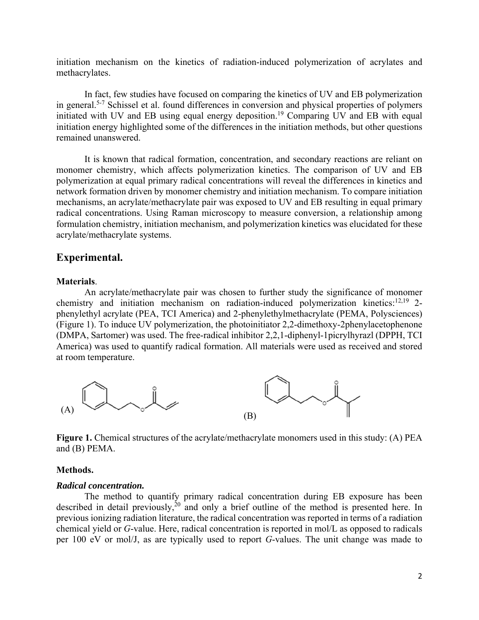initiation mechanism on the kinetics of radiation-induced polymerization of acrylates and methacrylates.

 In fact, few studies have focused on comparing the kinetics of UV and EB polymerization in general.5-7 Schissel et al. found differences in conversion and physical properties of polymers initiated with UV and EB using equal energy deposition.<sup>19</sup> Comparing UV and EB with equal initiation energy highlighted some of the differences in the initiation methods, but other questions remained unanswered.

It is known that radical formation, concentration, and secondary reactions are reliant on monomer chemistry, which affects polymerization kinetics. The comparison of UV and EB polymerization at equal primary radical concentrations will reveal the differences in kinetics and network formation driven by monomer chemistry and initiation mechanism. To compare initiation mechanisms, an acrylate/methacrylate pair was exposed to UV and EB resulting in equal primary radical concentrations. Using Raman microscopy to measure conversion, a relationship among formulation chemistry, initiation mechanism, and polymerization kinetics was elucidated for these acrylate/methacrylate systems.

# **Experimental.**

#### **Materials**.

 An acrylate/methacrylate pair was chosen to further study the significance of monomer chemistry and initiation mechanism on radiation-induced polymerization kinetics: $12,19$  2phenylethyl acrylate (PEA, TCI America) and 2-phenylethylmethacrylate (PEMA, Polysciences) (Figure 1). To induce UV polymerization, the photoinitiator 2,2-dimethoxy-2phenylacetophenone (DMPA, Sartomer) was used. The free-radical inhibitor 2,2,1-diphenyl-1picrylhyrazl (DPPH, TCI America) was used to quantify radical formation. All materials were used as received and stored at room temperature.



Figure 1. Chemical structures of the acrylate/methacrylate monomers used in this study: (A) PEA and (B) PEMA.

#### **Methods.**

#### *Radical concentration.*

The method to quantify primary radical concentration during EB exposure has been described in detail previously,<sup>20</sup> and only a brief outline of the method is presented here. In previous ionizing radiation literature, the radical concentration was reported in terms of a radiation chemical yield or *G*-value. Here, radical concentration is reported in mol/L as opposed to radicals per 100 eV or mol/J, as are typically used to report *G*-values. The unit change was made to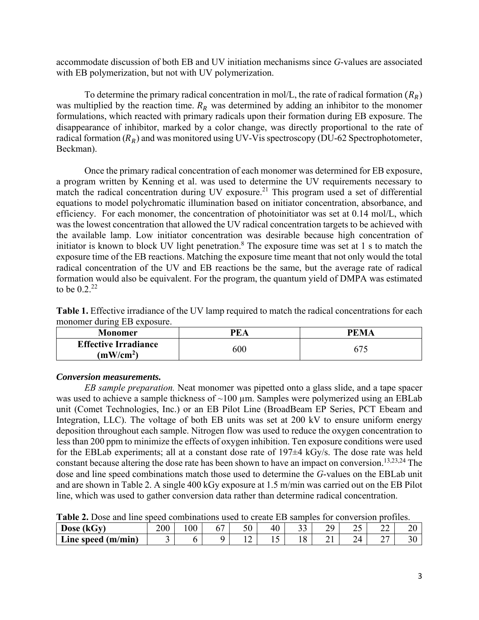accommodate discussion of both EB and UV initiation mechanisms since *G*-values are associated with EB polymerization, but not with UV polymerization.

To determine the primary radical concentration in mol/L, the rate of radical formation  $(R_R)$ was multiplied by the reaction time.  $R_R$  was determined by adding an inhibitor to the monomer formulations, which reacted with primary radicals upon their formation during EB exposure. The disappearance of inhibitor, marked by a color change, was directly proportional to the rate of radical formation  $(R_R)$  and was monitored using UV-V is spectroscopy (DU-62 Spectrophotometer, Beckman).

Once the primary radical concentration of each monomer was determined for EB exposure, a program written by Kenning et al. was used to determine the UV requirements necessary to match the radical concentration during UV exposure.<sup>21</sup> This program used a set of differential equations to model polychromatic illumination based on initiator concentration, absorbance, and efficiency. For each monomer, the concentration of photoinitiator was set at 0.14 mol/L, which was the lowest concentration that allowed the UV radical concentration targets to be achieved with the available lamp. Low initiator concentration was desirable because high concentration of initiator is known to block UV light penetration.<sup>8</sup> The exposure time was set at  $1$  s to match the exposure time of the EB reactions. Matching the exposure time meant that not only would the total radical concentration of the UV and EB reactions be the same, but the average rate of radical formation would also be equivalent. For the program, the quantum yield of DMPA was estimated to be  $0.2^{22}$ 

**Table 1.** Effective irradiance of the UV lamp required to match the radical concentrations for each monomer during EB exposure.

| Monomer                                              | <b>PEA</b> | PEMA |
|------------------------------------------------------|------------|------|
| <b>Effective Irradiance</b><br>(mW/cm <sup>2</sup> ) | 600        |      |

# *Conversion measurements.*

*EB sample preparation.* Neat monomer was pipetted onto a glass slide, and a tape spacer was used to achieve a sample thickness of  $\sim$ 100 µm. Samples were polymerized using an EBLab unit (Comet Technologies, Inc.) or an EB Pilot Line (BroadBeam EP Series, PCT Ebeam and Integration, LLC). The voltage of both EB units was set at 200 kV to ensure uniform energy deposition throughout each sample. Nitrogen flow was used to reduce the oxygen concentration to less than 200 ppm to minimize the effects of oxygen inhibition. Ten exposure conditions were used for the EBLab experiments; all at a constant dose rate of 197±4 kGy/s. The dose rate was held constant because altering the dose rate has been shown to have an impact on conversion.<sup>13,23,24</sup> The dose and line speed combinations match those used to determine the *G*-values on the EBLab unit and are shown in Table 2. A single 400 kGy exposure at 1.5 m/min was carried out on the EB Pilot line, which was used to gather conversion data rather than determine radical concentration.

| Table 2. Dose and this speed combinations used to create ED samples for conversion profiles. |     |    |  |  |    |  |    |    |  |
|----------------------------------------------------------------------------------------------|-----|----|--|--|----|--|----|----|--|
| Dose (kGy)                                                                                   | 200 | 00 |  |  | 40 |  | 70 | ∼  |  |
| Line speed $(m/min)$                                                                         |     |    |  |  |    |  |    | 24 |  |

**Table 2.** Dose and line speed combinations used to create EB samples for conversion profiles.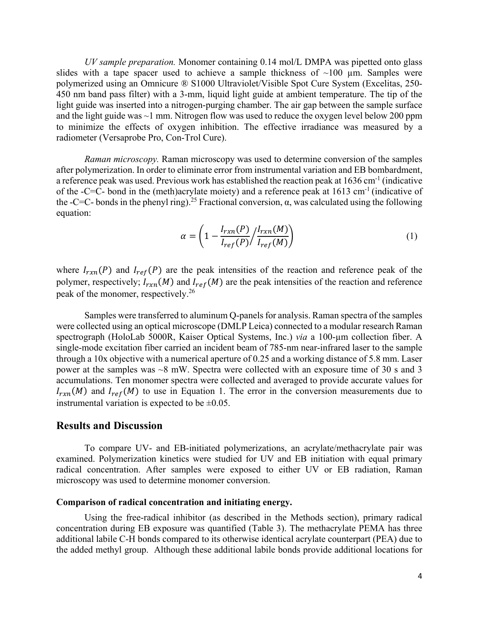*UV sample preparation.* Monomer containing 0.14 mol/L DMPA was pipetted onto glass slides with a tape spacer used to achieve a sample thickness of  $\sim$ 100  $\mu$ m. Samples were polymerized using an Omnicure ® S1000 Ultraviolet/Visible Spot Cure System (Excelitas, 250- 450 nm band pass filter) with a 3-mm, liquid light guide at ambient temperature. The tip of the light guide was inserted into a nitrogen-purging chamber. The air gap between the sample surface and the light guide was  $\sim$ 1 mm. Nitrogen flow was used to reduce the oxygen level below 200 ppm to minimize the effects of oxygen inhibition. The effective irradiance was measured by a radiometer (Versaprobe Pro, Con-Trol Cure).

*Raman microscopy.* Raman microscopy was used to determine conversion of the samples after polymerization. In order to eliminate error from instrumental variation and EB bombardment, a reference peak was used. Previous work has established the reaction peak at 1636 cm<sup>-1</sup> (indicative of the -C=C- bond in the (meth)acrylate moiety) and a reference peak at  $1613 \text{ cm}^{-1}$  (indicative of the -C=C- bonds in the phenyl ring).<sup>25</sup> Fractional conversion,  $\alpha$ , was calculated using the following equation:

$$
\alpha = \left(1 - \frac{I_{rxn}(P)}{I_{ref}(P)} / \frac{I_{rxn}(M)}{I_{ref}(M)}\right) \tag{1}
$$

where  $I_{rxn}(P)$  and  $I_{ref}(P)$  are the peak intensities of the reaction and reference peak of the polymer, respectively;  $I_{rxn}(M)$  and  $I_{ref}(M)$  are the peak intensities of the reaction and reference peak of the monomer, respectively.26

 Samples were transferred to aluminum Q-panels for analysis. Raman spectra of the samples were collected using an optical microscope (DMLP Leica) connected to a modular research Raman spectrograph (HoloLab 5000R, Kaiser Optical Systems, Inc.) *via* a 100-µm collection fiber. A single-mode excitation fiber carried an incident beam of 785-nm near-infrared laser to the sample through a 10x objective with a numerical aperture of 0.25 and a working distance of 5.8 mm. Laser power at the samples was ~8 mW. Spectra were collected with an exposure time of 30 s and 3 accumulations. Ten monomer spectra were collected and averaged to provide accurate values for  $I_{rxn}(M)$  and  $I_{ref}(M)$  to use in Equation 1. The error in the conversion measurements due to instrumental variation is expected to be  $\pm 0.05$ .

# **Results and Discussion**

 To compare UV- and EB-initiated polymerizations, an acrylate/methacrylate pair was examined. Polymerization kinetics were studied for UV and EB initiation with equal primary radical concentration. After samples were exposed to either UV or EB radiation, Raman microscopy was used to determine monomer conversion.

#### **Comparison of radical concentration and initiating energy.**

Using the free-radical inhibitor (as described in the Methods section), primary radical concentration during EB exposure was quantified (Table 3). The methacrylate PEMA has three additional labile C-H bonds compared to its otherwise identical acrylate counterpart (PEA) due to the added methyl group. Although these additional labile bonds provide additional locations for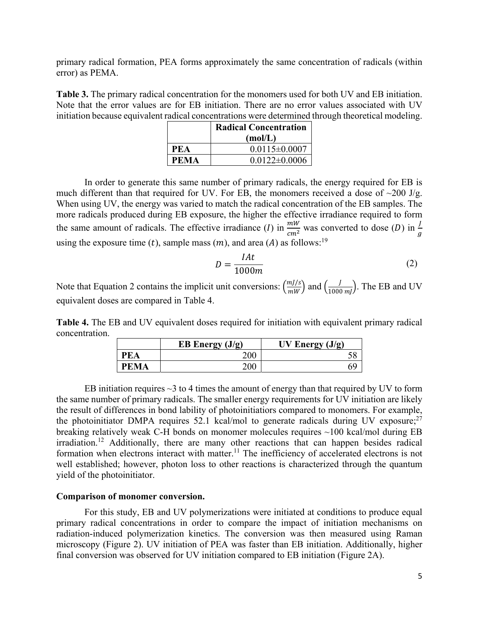primary radical formation, PEA forms approximately the same concentration of radicals (within error) as PEMA.

**Table 3.** The primary radical concentration for the monomers used for both UV and EB initiation. Note that the error values are for EB initiation. There are no error values associated with UV initiation because equivalent radical concentrations were determined through theoretical modeling.

|      | <b>Radical Concentration</b> |  |
|------|------------------------------|--|
|      | (mol/L)                      |  |
| PEA  | $0.0115 \pm 0.0007$          |  |
| PEMA | $0.0122 \pm 0.0006$          |  |

 In order to generate this same number of primary radicals, the energy required for EB is much different than that required for UV. For EB, the monomers received a dose of  $\sim$ 200 J/g. When using UV, the energy was varied to match the radical concentration of the EB samples. The more radicals produced during EB exposure, the higher the effective irradiance required to form the same amount of radicals. The effective irradiance (*I*) in  $\frac{mW}{cm^2}$  was converted to dose (*D*) in  $\frac{J}{g}$ using the exposure time (t), sample mass  $(m)$ , and area (A) as follows:<sup>19</sup>

$$
D = \frac{IAt}{1000m} \tag{2}
$$

Note that Equation 2 contains the implicit unit conversions:  $\left(\frac{mJ/s}{mW}\right)$  and  $\left(\frac{J}{1000 \, mJ}\right)$ . The EB and UV equivalent doses are compared in Table 4.

**Table 4.** The EB and UV equivalent doses required for initiation with equivalent primary radical concentration.

|             | EB Energy $(J/g)$ | UV Energy $(J/g)$ |
|-------------|-------------------|-------------------|
| <b>PEA</b>  |                   |                   |
| <b>PEMA</b> | ገበቤ               |                   |

EB initiation requires  $\sim$ 3 to 4 times the amount of energy than that required by UV to form the same number of primary radicals. The smaller energy requirements for UV initiation are likely the result of differences in bond lability of photoinitiatiors compared to monomers. For example, the photoinitiator DMPA requires 52.1 kcal/mol to generate radicals during UV exposure;  $27$ breaking relatively weak C-H bonds on monomer molecules requires ~100 kcal/mol during EB irradiation.12 Additionally, there are many other reactions that can happen besides radical formation when electrons interact with matter.<sup>11</sup> The inefficiency of accelerated electrons is not well established; however, photon loss to other reactions is characterized through the quantum yield of the photoinitiator.

## **Comparison of monomer conversion.**

 For this study, EB and UV polymerizations were initiated at conditions to produce equal primary radical concentrations in order to compare the impact of initiation mechanisms on radiation-induced polymerization kinetics. The conversion was then measured using Raman microscopy (Figure 2). UV initiation of PEA was faster than EB initiation. Additionally, higher final conversion was observed for UV initiation compared to EB initiation (Figure 2A).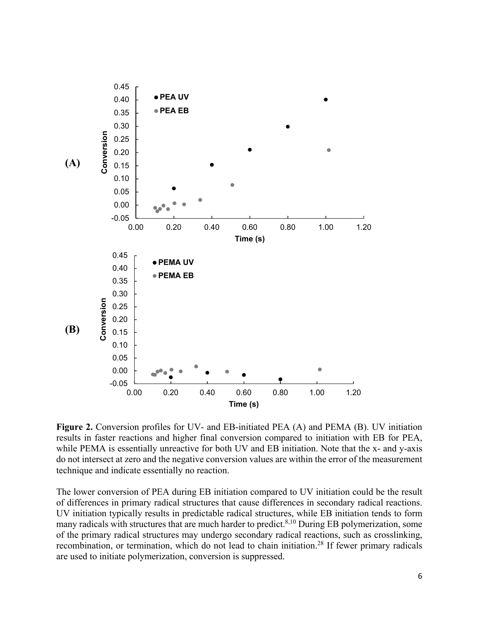

Figure 2. Conversion profiles for UV- and EB-initiated PEA (A) and PEMA (B). UV initiation results in faster reactions and higher final conversion compared to initiation with EB for PEA, while PEMA is essentially unreactive for both UV and EB initiation. Note that the x- and y-axis do not intersect at zero and the negative conversion values are within the error of the measurement technique and indicate essentially no reaction.

The lower conversion of PEA during EB initiation compared to UV initiation could be the result of differences in primary radical structures that cause differences in secondary radical reactions. UV initiation typically results in predictable radical structures, while EB initiation tends to form many radicals with structures that are much harder to predict. $8,10$  During EB polymerization, some of the primary radical structures may undergo secondary radical reactions, such as crosslinking, recombination, or termination, which do not lead to chain initiation.<sup>28</sup> If fewer primary radicals are used to initiate polymerization, conversion is suppressed.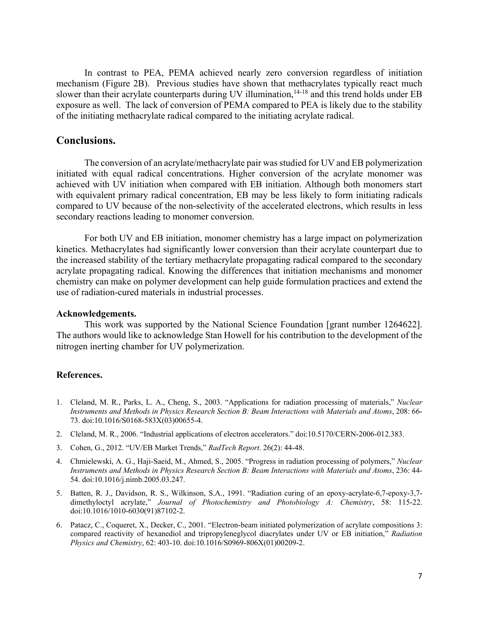In contrast to PEA, PEMA achieved nearly zero conversion regardless of initiation mechanism (Figure 2B). Previous studies have shown that methacrylates typically react much slower than their acrylate counterparts during UV illumination,<sup>14-18</sup> and this trend holds under EB exposure as well. The lack of conversion of PEMA compared to PEA is likely due to the stability of the initiating methacrylate radical compared to the initiating acrylate radical.

# **Conclusions.**

 The conversion of an acrylate/methacrylate pair was studied for UV and EB polymerization initiated with equal radical concentrations. Higher conversion of the acrylate monomer was achieved with UV initiation when compared with EB initiation. Although both monomers start with equivalent primary radical concentration, EB may be less likely to form initiating radicals compared to UV because of the non-selectivity of the accelerated electrons, which results in less secondary reactions leading to monomer conversion.

 For both UV and EB initiation, monomer chemistry has a large impact on polymerization kinetics. Methacrylates had significantly lower conversion than their acrylate counterpart due to the increased stability of the tertiary methacrylate propagating radical compared to the secondary acrylate propagating radical. Knowing the differences that initiation mechanisms and monomer chemistry can make on polymer development can help guide formulation practices and extend the use of radiation-cured materials in industrial processes.

## **Acknowledgements.**

This work was supported by the National Science Foundation [grant number 1264622]. The authors would like to acknowledge Stan Howell for his contribution to the development of the nitrogen inerting chamber for UV polymerization.

#### **References.**

- 1. Cleland, M. R., Parks, L. A., Cheng, S., 2003. "Applications for radiation processing of materials," *Nuclear Instruments and Methods in Physics Research Section B: Beam Interactions with Materials and Atoms*, 208: 66- 73. doi:10.1016/S0168-583X(03)00655-4.
- 2. Cleland, M. R., 2006. "Industrial applications of electron accelerators." doi:10.5170/CERN-2006-012.383.
- 3. Cohen, G., 2012. "UV/EB Market Trends," *RadTech Report*. 26(2): 44-48.
- 4. Chmielewski, A. G., Haji-Saeid, M., Ahmed, S., 2005. "Progress in radiation processing of polymers," *Nuclear Instruments and Methods in Physics Research Section B: Beam Interactions with Materials and Atoms*, 236: 44- 54. doi:10.1016/j.nimb.2005.03.247.
- 5. Batten, R. J., Davidson, R. S., Wilkinson, S.A., 1991. "Radiation curing of an epoxy-acrylate-6,7-epoxy-3,7 dimethyloctyl acrylate," *Journal of Photochemistry and Photobiology A: Chemistry*, 58: 115-22. doi:10.1016/1010-6030(91)87102-2.
- 6. Patacz, C., Coqueret, X., Decker, C., 2001. "Electron-beam initiated polymerization of acrylate compositions 3: compared reactivity of hexanediol and tripropyleneglycol diacrylates under UV or EB initiation," *Radiation Physics and Chemistry*, 62: 403-10. doi:10.1016/S0969-806X(01)00209-2.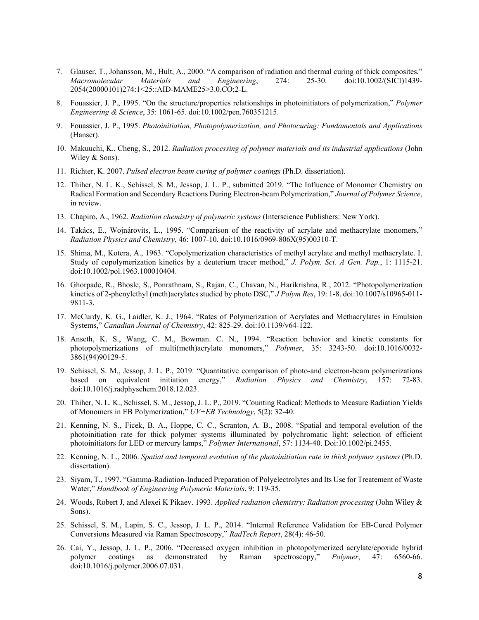- 7. Glauser, T., Johansson, M., Hult, A., 2000. "A comparison of radiation and thermal curing of thick composites," *Macromolecular Materials and Engineering*, 274: 25-30. doi:10.1002/(SICI)1439- 2054(20000101)274:1<25::AID-MAME25>3.0.CO;2-L.
- 8. Fouassier, J. P., 1995. "On the structure/properties relationships in photoinitiators of polymerization," *Polymer Engineering & Science*, 35: 1061-65. doi:10.1002/pen.760351215.
- 9. Fouassier, J. P., 1995. *Photoinitiation, Photopolymerization, and Photocuring: Fundamentals and Applications* (Hanser).
- 10. Makuuchi, K., Cheng, S., 2012. *Radiation processing of polymer materials and its industrial applications* (John Wiley & Sons).
- 11. Richter, K. 2007. *Pulsed electron beam curing of polymer coatings* (Ph.D. dissertation).
- 12. Thiher, N. L. K., Schissel, S. M., Jessop, J. L. P., submitted 2019. "The Influence of Monomer Chemistry on Radical Formation and Secondary Reactions During Electron-beam Polymerization," *Journal of Polymer Science*, in review.
- 13. Chapiro, A., 1962. *Radiation chemistry of polymeric systems* (Interscience Publishers: New York).
- 14. Takács, E., Wojnárovits, L., 1995. "Comparison of the reactivity of acrylate and methacrylate monomers," *Radiation Physics and Chemistry*, 46: 1007-10. doi:10.1016/0969-806X(95)00310-T.
- 15. Shima, M., Kotera, A., 1963. "Copolymerization characteristics of methyl acrylate and methyl methacrylate. I. Study of copolymerization kinetics by a deuterium tracer method," *J. Polym. Sci. A Gen. Pap.*, 1: 1115-21. doi:10.1002/pol.1963.100010404.
- 16. Ghorpade, R., Bhosle, S., Ponrathnam, S., Rajan, C., Chavan, N., Harikrishna, R., 2012. "Photopolymerization kinetics of 2-phenylethyl (meth)acrylates studied by photo DSC," *J Polym Res*, 19: 1-8. doi:10.1007/s10965-011- 9811-3.
- 17. McCurdy, K. G., Laidler, K. J., 1964. "Rates of Polymerization of Acrylates and Methacrylates in Emulsion Systems," *Canadian Journal of Chemistry*, 42: 825-29. doi:10.1139/v64-122.
- 18. Anseth, K. S., Wang, C. M., Bowman. C. N., 1994. "Reaction behavior and kinetic constants for photopolymerizations of multi(meth)acrylate monomers," *Polymer*, 35: 3243-50. doi:10.1016/0032- 3861(94)90129-5.
- 19. Schissel, S. M., Jessop, J. L. P., 2019. "Quantitative comparison of photo-and electron-beam polymerizations based on equivalent initiation energy," *Radiation Physics and Chemistry*, 157: 72-83. doi:10.1016/j.radphyschem.2018.12.023.
- 20. Thiher, N. L. K., Schissel, S. M., Jessop, J. L. P., 2019. "Counting Radical: Methods to Measure Radiation Yields of Monomers in EB Polymerization," *UV+EB Technology*, 5(2): 32-40.
- 21. Kenning, N. S., Ficek, B. A., Hoppe, C. C., Scranton, A. B., 2008. "Spatial and temporal evolution of the photoinitiation rate for thick polymer systems illuminated by polychromatic light: selection of efficient photoinitiators for LED or mercury lamps," *Polymer International*, 57: 1134-40. Doi:10.1002/pi.2455.
- 22. Kenning, N. L., 2006. *Spatial and temporal evolution of the photoinitiation rate in thick polymer systems* (Ph.D. dissertation).
- 23. Siyam, T., 1997. "Gamma-Radiation-Induced Preparation of Polyelectrolytes and Its Use for Treatement of Waste Water," *Handbook of Engineering Polymeric Materials*, 9: 119-35.
- 24. Woods, Robert J, and Alexei K Pikaev. 1993. *Applied radiation chemistry: Radiation processing* (John Wiley & Sons).
- 25. Schissel, S. M., Lapin, S. C., Jessop, J. L. P., 2014. "Internal Reference Validation for EB-Cured Polymer Conversions Measured via Raman Spectroscopy," *RadTech Report*, 28(4): 46-50.
- 26. Cai, Y., Jessop, J. L. P., 2006. "Decreased oxygen inhibition in photopolymerized acrylate/epoxide hybrid polymer coatings as demonstrated by Raman spectroscopy," *Polymer*, 47: 6560-66. doi:10.1016/j.polymer.2006.07.031.